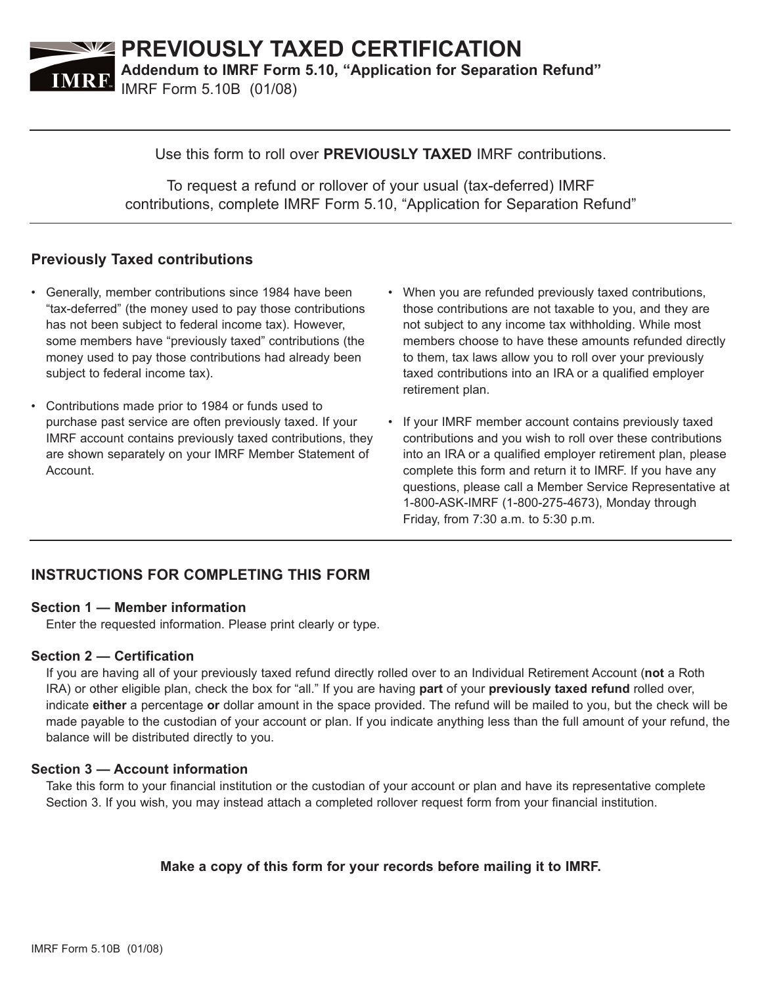

### Use this form to roll over **PREVIOUSLY TAXED** IMRF contributions.

To request a refund or rollover of your usual (tax-deferred) IMRF contributions, complete IMRF Form 5.10, "Application for Separation Refund"

# **Previously Taxed contributions**

- Generally, member contributions since 1984 have been "tax-deferred" (the money used to pay those contributions has not been subject to federal income tax). However, some members have "previously taxed" contributions (the money used to pay those contributions had already been subject to federal income tax).
- Contributions made prior to 1984 or funds used to purchase past service are often previously taxed. If your IMRF account contains previously taxed contributions, they are shown separately on your IMRF Member Statement of Account.
- When you are refunded previously taxed contributions, those contributions are not taxable to you, and they are not subject to any income tax withholding. While most members choose to have these amounts refunded directly to them, tax laws allow you to roll over your previously taxed contributions into an IRA or a qualified employer retirement plan.
- If your IMRF member account contains previously taxed contributions and you wish to roll over these contributions into an IRA or a qualified employer retirement plan, please complete this form and return it to IMRF. If you have any questions, please call a Member Service Representative at 1-800-ASK-IMRF (1-800-275-4673), Monday through Friday, from 7:30 a.m. to 5:30 p.m.

# **INSTRUCTIONS FOR COMPLETING THIS FORM**

#### **Section 1 — Member information**

Enter the requested information. Please print clearly or type.

#### **Section 2 — Certification**

If you are having all of your previously taxed refund directly rolled over to an Individual Retirement Account (**not** a Roth IRA) or other eligible plan, check the box for "all." If you are having **part** of your **previously taxed refund** rolled over, indicate **either** a percentage **or** dollar amount in the space provided. The refund will be mailed to you, but the check will be made payable to the custodian of your account or plan. If you indicate anything less than the full amount of your refund, the balance will be distributed directly to you.

### **Section 3 — Account information**

Take this form to your financial institution or the custodian of your account or plan and have its representative complete Section 3. If you wish, you may instead attach a completed rollover request form from your financial institution.

## **Make a copy of this form for your records before mailing it to IMRF.**